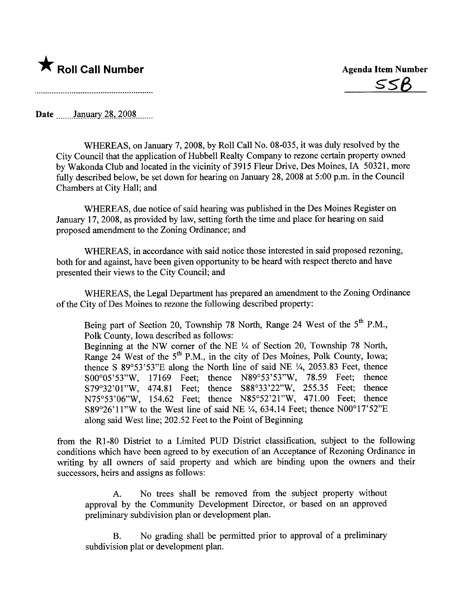## \* Roll Call Number Agenda Item Number

s5B

Date January 28,  $2008$ 

WHEREAS, on January 7, 2008, by Roll Call No. 08-035, it was duly resolved by the City Council that the application of Hubbell Realty Company to rezone certain property owned by Wakonda Club and located in the vicinity of3915 Fleur Drive, Des Moines, IA 50321, more fully described below, be set down for hearing on January 28, 2008 at 5:00 p.m. in the Council Chambers at City Hall; and

WHEREAS, due notice of said hearing was published in the Des Moines Register on January 17,2008, as provided by law, setting forth the time and place for hearing on said proposed amendment to the Zoning Ordinance; and

WHEREAS, in accordance with said notice those interested in said proposed rezoning, both for and against, have been given opportunity to be heard with respect thereto and have presented their views to the City Council; and

WHEREAS, the Legal Department has prepared an amendment to the Zoning Ordinance of the City of Des Moines to rezone the following described property:

Being part of Section 20, Township 78 North, Range 24 West of the 5<sup>th</sup> P.M., Polk County, Iowa described as follows:

Beginning at the NW corner of the NE  $\frac{1}{4}$  of Section 20, Township 78 North, Range 24 West of the  $5<sup>th</sup>$  P.M., in the city of Des Moines, Polk County, Iowa; thence S  $89^{\circ}53'53''E$  along the North line of said NE  $\frac{1}{4}$ , 2053.83 Feet, thence S00°05'53"W, 17169 Feet; thence N89°53'53"W, 78.59 Feet; thence S79°32'01"W, 474.81 Feet; thence S88°33'22"W, 255.35 Feet; thence N75°53'06"W, 154.62 Feet; thence N85°52'21"W, 471.00 Feet; thence S89 $\degree$ 26'11"W to the West line of said NE  $\frac{1}{4}$ , 634.14 Feet; thence N00 $\degree$ 17'52"E along said West line; 202.52 Feet to the Point of Beginning

from the R1-80 District to a Limited PUD District classification, subject to the following conditions which have been agreed to by execution of an Acceptance of Rezoning Ordinance in writing by all owners of said property and which are binding upon the owners and their successors, heirs and assigns as follows:

A. No trees shall be removed from the subject property without approval by the Community Development Director, or based on an approved preliminary subdivision plan or development plan.

B. No grading shall be permitted prior to approval of a preliminary subdivision plat or development plan.